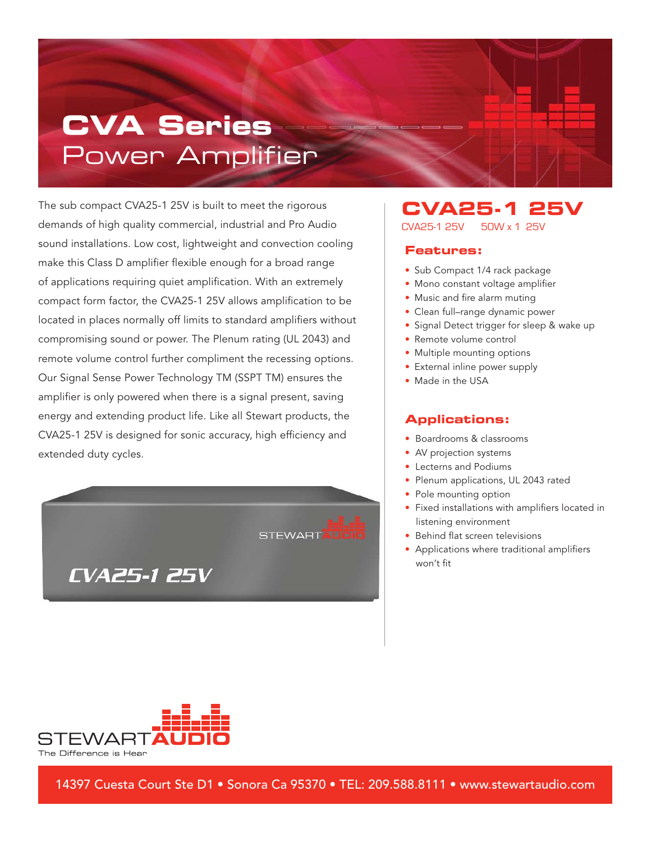# **CVA Series** Power Amplifier

The sub compact CVA25-1 25V is built to meet the rigorous demands of high quality commercial, industrial and Pro Audio sound installations. Low cost, lightweight and convection cooling make this Class D amplifier flexible enough for a broad range of applications requiring quiet amplification. With an extremely compact form factor, the CVA25-1 25V allows amplification to be located in places normally off limits to standard amplifiers without compromising sound or power. The Plenum rating (UL 2043) and remote volume control further compliment the recessing options. Our Signal Sense Power Technology TM (SSPT TM) ensures the amplifier is only powered when there is a signal present, saving energy and extending product life. Like all Stewart products, the CVA25-1 25V is designed for sonic accuracy, high efficiency and extended duty cycles.



#### **CVA25-1 25V** CVA25-1 25V 50W x 1 25V

#### **Features:**

- Sub Compact 1/4 rack package
- Mono constant voltage amplifier
- Music and fire alarm muting
- Clean full–range dynamic power
- Signal Detect trigger for sleep & wake up
- Remote volume control
- Multiple mounting options
- External inline power supply
- Made in the USA

#### **Applications:**

- Boardrooms & classrooms
- AV projection systems
- Lecterns and Podiums
- Plenum applications, UL 2043 rated
- Pole mounting option
- Fixed installations with amplifiers located in listening environment
- Behind flat screen televisions
- Applications where traditional amplifiers won't fit



14397 Cuesta Court Ste D1 • Sonora Ca 95370 • TEL: 209.588.8111 • www.stewartaudio.com